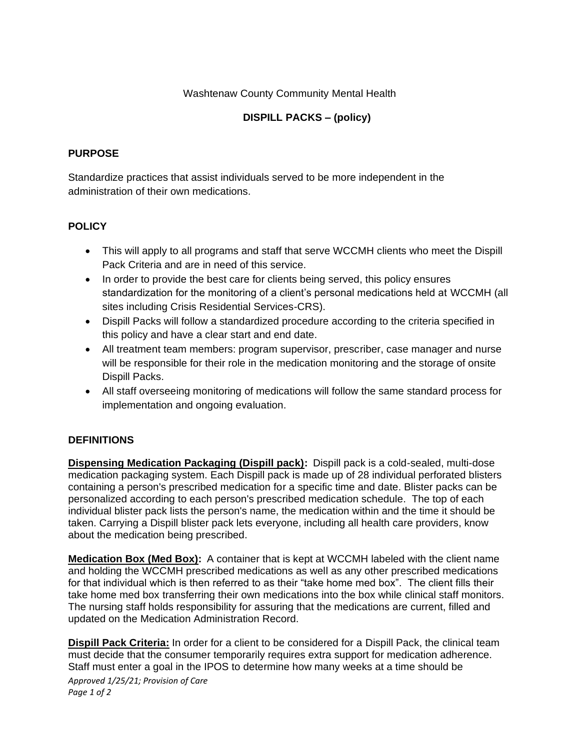#### Washtenaw County Community Mental Health

# **DISPILL PACKS – (policy)**

#### **PURPOSE**

Standardize practices that assist individuals served to be more independent in the administration of their own medications.

## **POLICY**

- This will apply to all programs and staff that serve WCCMH clients who meet the Dispill Pack Criteria and are in need of this service.
- In order to provide the best care for clients being served, this policy ensures standardization for the monitoring of a client's personal medications held at WCCMH (all sites including Crisis Residential Services-CRS).
- Dispill Packs will follow a standardized procedure according to the criteria specified in this policy and have a clear start and end date.
- All treatment team members: program supervisor, prescriber, case manager and nurse will be responsible for their role in the medication monitoring and the storage of onsite Dispill Packs.
- All staff overseeing monitoring of medications will follow the same standard process for implementation and ongoing evaluation.

## **DEFINITIONS**

**Dispensing Medication Packaging (Dispill pack):** Dispill pack is a cold-sealed, multi-dose medication packaging system. Each Dispill pack is made up of 28 individual perforated blisters containing a person's prescribed medication for a specific time and date. Blister packs can be personalized according to each person's prescribed medication schedule. The top of each individual blister pack lists the person's name, the medication within and the time it should be taken. Carrying a Dispill blister pack lets everyone, including all health care providers, know about the medication being prescribed.

**Medication Box (Med Box):** A container that is kept at WCCMH labeled with the client name and holding the WCCMH prescribed medications as well as any other prescribed medications for that individual which is then referred to as their "take home med box". The client fills their take home med box transferring their own medications into the box while clinical staff monitors. The nursing staff holds responsibility for assuring that the medications are current, filled and updated on the Medication Administration Record.

**Dispill Pack Criteria:** In order for a client to be considered for a Dispill Pack, the clinical team must decide that the consumer temporarily requires extra support for medication adherence. Staff must enter a goal in the IPOS to determine how many weeks at a time should be

*Approved 1/25/21; Provision of Care Page 1 of 2*